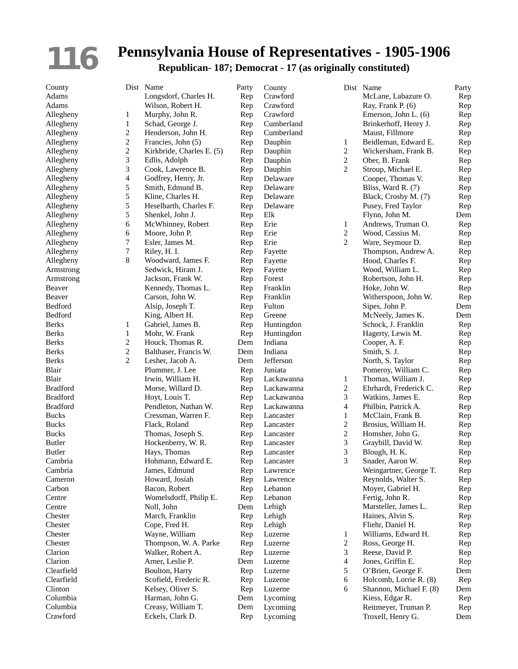## **116**

County Dist Name

## **Pennsylvania House of Representatives - 1905-1906**

**Republican- 187; Democrat - 17 (as originally constituted)**

| Adams              |                          | Longsdorf, Charles H.           | Rep        |
|--------------------|--------------------------|---------------------------------|------------|
| Adams              |                          | Wilson, Robert H.               | Rep        |
| Allegheny          | 1                        | Murphy, John R.                 | Rep        |
| Allegheny          | 1                        | Schad, George J.                | Rep        |
| Allegheny          | $\overline{c}$           | Henderson, John H.              | Rep        |
| Allegheny          | $\overline{c}$           | Francies, John (5)              | Rep        |
| Allegheny          | $\overline{c}$           | Kirkbride, Charles E. (5)       | Rep        |
| Allegheny          | 3                        | Edlis, Adolph                   | Rep        |
| Allegheny          | 3                        | Cook, Lawrence B.               | Rep        |
| Allegheny          | $\overline{\mathcal{L}}$ | Godfrey, Henry, Jr.             | Rep        |
| Allegheny          | 5                        | Smith, Edmund B.                | Rep        |
| Allegheny          | 5                        | Kline, Charles H.               | Rep        |
| Allegheny          | 5                        | Heselbarth, Charles F.          | Rep        |
| Allegheny          | 5                        | Shenkel, John J.                | Rep        |
| Allegheny          | 6                        | McWhinney, Robert               | Rep        |
| Allegheny          | 6                        | Moore, John P.                  | Rep        |
| Allegheny          | 7                        | Esler, James M.                 | Rep        |
| Allegheny          | 7                        | Riley, H. I.                    | Rep        |
| Allegheny          | 8                        | Woodward, James F.              | Rep        |
| Armstrong          |                          | Sedwick, Hiram J.               | Rep        |
| Armstrong          |                          | Jackson, Frank W.               | Rep        |
| Beaver             |                          | Kennedy, Thomas L.              | Rep        |
| Beaver             |                          | Carson, John W.                 | Rep        |
| Bedford            |                          | Alsip, Joseph T.                | Rep        |
| Bedford            |                          | King, Albert H.                 | Rep        |
| <b>Berks</b>       | 1                        | Gabriel, James B.               | Rep        |
| <b>Berks</b>       | 1                        | Mohr, W. Frank                  | Rep        |
| <b>Berks</b>       | 2                        | Houck, Thomas R.                | Dem        |
| <b>Berks</b>       | $\overline{c}$           | Balthaser, Francis W.           | Dem        |
| <b>Berks</b>       | $\overline{2}$           | Lesher, Jacob A.                | Dem        |
| Blair              |                          | Plummer, J. Lee                 | Rep        |
| Blair              |                          | Irwin, William H.               | Rep        |
| <b>Bradford</b>    |                          | Morse, Willard D.               | Rep        |
| <b>Bradford</b>    |                          | Hoyt, Louis T.                  | Rep        |
| <b>Bradford</b>    |                          | Pendleton, Nathan W.            | Rep        |
| <b>Bucks</b>       |                          | Cressman, Warren F.             | Rep        |
| <b>Bucks</b>       |                          | Flack, Roland                   | Rep        |
| <b>Bucks</b>       |                          | Thomas, Joseph S.               |            |
| Butler             |                          | Hockenberry, W. R.              | Rep<br>Rep |
| <b>Butler</b>      |                          | Hays, Thomas                    | Rep        |
| Cambria            |                          | Hohmann, Edward E.              |            |
|                    |                          |                                 | Rep        |
| Cambria            |                          | James, Edmund<br>Howard, Josiah | Rep        |
| Cameron<br>Carbon  |                          | Bacon, Robert                   | Rep<br>Rep |
| Centre             |                          | Womelsdorff, Philip E.          |            |
| Centre             |                          | Noll, John                      | Rep        |
|                    |                          |                                 | Dem        |
| Chester            |                          | March, Franklin                 | Rep        |
| Chester            |                          | Cope, Fred H.                   | Rep        |
| Chester<br>Chester |                          | Wayne, William                  | Rep        |
|                    |                          | Thompson, W. A. Parke           | Rep        |
| Clarion            |                          | Walker, Robert A.               | Rep        |
| Clarion            |                          | Arner, Leslie P.                | Dem        |
| Clearfield         |                          | Boulton, Harry                  | Rep        |
| Clearfield         |                          | Scofield, Frederic R.           | Rep        |
| Clinton            |                          | Kelsey, Oliver S.               | Rep        |
| Columbia           |                          | Harman, John G.                 | Dem        |
| Columbia           |                          | Creasy, William T.              | Dem        |
| Crawford           |                          | Eckels, Clark D.                | Rep        |

|                  | Party | $\mathsf{C}$   |
|------------------|-------|----------------|
| , Charles H.     | Rep   | $\overline{C}$ |
| obert H.         | Rep   | $\mathsf{C}$   |
| ohn R.           | Rep   | $\mathsf{C}$   |
| orge J.          | Rep   | $\mathsf{C}$   |
| n, John H.       | Rep   | $\mathsf{C}$   |
| John(5)          | Rep   | $\Gamma$       |
| Charles E. $(5)$ | Rep   | $\Gamma$       |
| lph              | Rep   | $\Gamma$       |
| vrence B.        | Rep   | $\Gamma$       |
| Jenry, Jr.       | Rep   | $\Gamma$       |
| mund B.          | Rep   | $\Gamma$       |
| urles H.         | Rep   | $\Gamma$       |
| n, Charles F.    | Rep   | $\Gamma$       |
| ohn J.           | Rep   | E              |
| ey, Robert       | Rep   | E              |
| hnP.             | Rep   | E              |
| es M.            | Rep   | E              |
|                  | Rep   |                |
|                  |       | F              |
| l, James F.      | Rep   | F              |
| Hiram J.         | Rep   | F              |
| rank W.          | Rep   | F              |
| Thomas L.        | Rep   | F              |
| hn W.            | Rep   | F              |
| eph T.           | Rep   | F              |
| ert H.           | Rep   | C              |
| ames B.          | Rep   | H              |
| Frank            | Rep   | H              |
| iomas R.         | Dem   | Iı             |
| Francis W.       | Dem   | Iı             |
| cob A.           | Dem   | J              |
| J. Lee           | Rep   | Jı             |
| liam H.          | Rep   | L              |
| llard D.         | Rep   | L              |
| is T.            | Rep   | L              |
| , Nathan W.      | Rep   | L              |
| Warren F.        | Rep   | L              |
| and              | Rep   | L              |
| oseph S.         | Rep   |                |
| rry, W. R.       | Rep   | L<br>L         |
| mas              | Rep   | L              |
| Edward E         | Rep   | L              |
| mund             | Rep   | L              |
| osiah            | Rep   | L              |
| bert             | Rep   | L              |
| rff, Philip E.   | Rep   | L              |
|                  | Dem   | L              |
| anklin           | Rep   | L              |
| 1 H.             | Rep   | L              |
| illiam           | Rep   | L              |
| I, W. A. Parke   | Rep   | L              |
| obert A.         | Rep   | L              |
| ilie P.          | Dem   | L              |
| Iarry            | Rep   | L              |
| Frederic R.      | Rep   | L              |
| iver S.          |       | L              |
|                  | Rep   |                |
| ohn G.           | Dem   | L              |
| illiam T.        | Dem   | L              |
| ark D.           | Rep   | L              |

| County               |
|----------------------|
| Crawford             |
| Crawford             |
| Crawford             |
| Cumberland           |
| Cumberland           |
| Dauphin              |
|                      |
| Dauphin              |
| Dauphin              |
| Dauphin              |
| Delaware             |
| Delaware             |
| Delaware             |
| Delaware             |
| Elk                  |
| Erie                 |
| Erie                 |
|                      |
| Erie                 |
| Fayette              |
| Fayette              |
| Fayette              |
| Forest               |
| Franklin             |
| Franklin             |
| Fulton               |
|                      |
| Greene               |
| Huntingdon           |
| Huntingdon           |
| Indiana              |
| Indiana              |
|                      |
| Jefferson            |
| Juniata              |
|                      |
| Lackawanna           |
| Lackawanna           |
| Lackawanna           |
| Lackawanna           |
| Lancaster            |
| Lancaster            |
| Lancaster            |
| Lancaster            |
| Lancaster            |
| Lancaster            |
|                      |
| Lawrence             |
| Lawrence             |
| Lebanon              |
| Lebanon              |
| Lehigh               |
| Lehigh               |
| Lehigh               |
|                      |
| Luzerne<br>Luzerne   |
|                      |
| Luzerne              |
| Luzerne              |
| Luzerne              |
|                      |
| Luzerne<br>Luzerne   |
| Lycoming             |
| Lycoming<br>Lycoming |

| County     |                     | Dist Name               | Party |
|------------|---------------------|-------------------------|-------|
| Crawford   |                     | McLane, Labazure O.     | Rep   |
| Crawford   |                     | Ray, Frank P. (6)       | Rep   |
| Crawford   |                     | Emerson, John L. (6)    | Rep   |
| Cumberland |                     | Brinkerhoff, Henry J.   | Rep   |
| Cumberland |                     | Maust, Fillmore         | Rep   |
| Dauphin    | 1                   | Beidleman, Edward E.    | Rep   |
| Dauphin    | $\mathbf{2}$        | Wickersham, Frank B.    | Rep   |
| Dauphin    | $\overline{c}$      | Ober, B. Frank          | Rep   |
| Dauphin    | $\mathfrak{D}$      | Stroup, Michael E.      | Rep   |
| Delaware   |                     | Cooper, Thomas V.       | Rep   |
| Delaware   |                     | Bliss, Ward R. (7)      | Rep   |
| Delaware   |                     | Black, Crosby M. (7)    | Rep   |
| Delaware   |                     | Pusey, Fred Taylor      | Rep   |
| Elk        |                     | Flynn, John M.          | Dem   |
| Erie       | 1                   | Andrews, Truman O.      | Rep   |
| Erie       | $\overline{c}$      | Wood, Cassius M.        | Rep   |
| Erie       | $\overline{2}$      | Ware, Seymour D.        | Rep   |
| Fayette    |                     | Thompson, Andrew A.     | Rep   |
| Fayette    |                     | Hood, Charles F.        | Rep   |
| Fayette    |                     | Wood, William L.        | Rep   |
| Forest     |                     | Robertson, John H.      | Rep   |
| Franklin   |                     | Hoke, John W.           | Rep   |
| Franklin   |                     | Witherspoon, John W.    | Rep   |
| Fulton     |                     | Sipes, John P.          | Dem   |
| Greene     |                     | McNeely, James K.       | Dem   |
| Huntingdon |                     | Schock, J. Franklin     | Rep   |
| Huntingdon |                     | Hagerty, Lewis M.       | Rep   |
| Indiana    |                     | Cooper, A. F.           | Rep   |
| Indiana    |                     | Smith, S. J.            | Rep   |
| Jefferson  |                     | North, S. Taylor        | Rep   |
| Juniata    |                     | Pomeroy, William C.     | Rep   |
| Lackawanna | 1                   | Thomas, William J.      | Rep   |
| Lackawanna | 2                   | Ehrhardt, Frederick C.  | Rep   |
| Lackawanna | 3                   | Watkins, James E.       | Rep   |
| Lackawanna | $\overline{4}$      | Philbin, Patrick A.     | Rep   |
| Lancaster  | $\mathbf{1}$        | McClain, Frank B.       | Rep   |
| Lancaster  | $\overline{c}$      | Brosius, William H.     | Rep   |
| Lancaster  | $\overline{c}$      | Homsher, John G.        | Rep   |
| Lancaster  | 3                   | Graybill, David W.      | Rep   |
| Lancaster  | 3                   | Blough, H. K.           | Rep   |
| Lancaster  | 3                   | Snader, Aaron W.        | Rep   |
| Lawrence   |                     | Weingartner, George T.  | Rep   |
| Lawrence   |                     | Reynolds, Walter S.     | Rep   |
| Lebanon    |                     | Moyer, Gabriel H.       | Rep   |
| Lebanon    |                     | Fertig, John R.         | Rep   |
| Lehigh     |                     | Marsteller, James L.    | Rep   |
| Lehigh     |                     | Haines, Alvin S.        | Rep   |
| Lehigh     |                     | Fliehr, Daniel H.       | Rep   |
| Luzerne    | 1<br>$\overline{c}$ | Williams, Edward H.     | Rep   |
| Luzerne    | 3                   | Ross, George H.         | Rep   |
| Luzerne    |                     | Reese, David P.         | Rep   |
| Luzerne    | 4<br>5              | Jones, Griffin E.       | Rep   |
| Luzerne    | 6                   | O'Brien, George F.      | Dem   |
| Luzerne    | 6                   | Holcomb, Lorrie R. (8)  | Rep   |
| Luzerne    |                     | Shannon, Michael F. (8) | Dem   |
| Lycoming   |                     | Kiess, Edgar R.         | Rep   |
| Lycoming   |                     | Reitmeyer, Truman P.    | Rep   |
| Lycoming   |                     | Troxell, Henry G.       | Dem   |